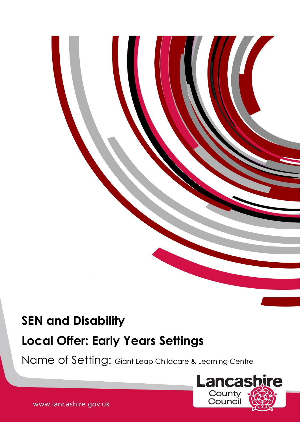# **SEN and Disability**

# **Local Offer: Early Years Settings**

Make available will form the main basis of your setting's Local Offer.

Name of Setting: Giant Leap Childcare & Learning Centre



www.lancashire.gov.uk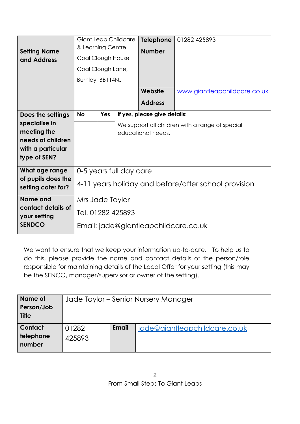| <b>Setting Name</b><br>and Address       | <b>Giant Leap Childcare</b><br>& Learning Centre     |            |         | <b>Telephone</b><br><b>Number</b>               | 01282 425893 |  |  |  |
|------------------------------------------|------------------------------------------------------|------------|---------|-------------------------------------------------|--------------|--|--|--|
|                                          | Coal Clough House                                    |            |         |                                                 |              |  |  |  |
|                                          | Coal Clough Lane,                                    |            |         |                                                 |              |  |  |  |
|                                          | Burnley, BB114NJ                                     |            |         |                                                 |              |  |  |  |
|                                          |                                                      |            | Website | www.giantleapchildcare.co.uk                    |              |  |  |  |
|                                          |                                                      |            |         | <b>Address</b>                                  |              |  |  |  |
| Does the settings                        | <b>No</b>                                            | <b>Yes</b> |         | If yes, please give details:                    |              |  |  |  |
| specialise in                            |                                                      |            |         | We support all children with a range of special |              |  |  |  |
| meeting the<br>needs of children         |                                                      |            |         | educational needs.                              |              |  |  |  |
| with a particular                        |                                                      |            |         |                                                 |              |  |  |  |
| type of SEN?                             |                                                      |            |         |                                                 |              |  |  |  |
| What age range                           | 0-5 years full day care                              |            |         |                                                 |              |  |  |  |
| of pupils does the<br>setting cater for? | 4-11 years holiday and before/after school provision |            |         |                                                 |              |  |  |  |
| Name and                                 | Mrs Jade Taylor                                      |            |         |                                                 |              |  |  |  |
| contact details of<br>your setting       | Tel. 01282 425893                                    |            |         |                                                 |              |  |  |  |
| <b>SENDCO</b>                            | Email: jade@giantleapchildcare.co.uk                 |            |         |                                                 |              |  |  |  |

We want to ensure that we keep your information up-to-date. To help us to do this, please provide the name and contact details of the person/role responsible for maintaining details of the Local Offer for your setting (this may be the SENCO, manager/supervisor or owner of the setting).

| Name of      | Jade Taylor – Senior Nursery Manager |              |                               |  |  |  |
|--------------|--------------------------------------|--------------|-------------------------------|--|--|--|
| Person/Job   |                                      |              |                               |  |  |  |
| <b>Title</b> |                                      |              |                               |  |  |  |
| Contact      | 01282                                | <b>Email</b> | jade@giantleapchildcare.co.uk |  |  |  |
| telephone    | 425893                               |              |                               |  |  |  |
| number       |                                      |              |                               |  |  |  |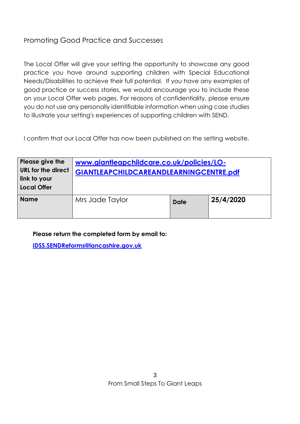## Promoting Good Practice and Successes

The Local Offer will give your setting the opportunity to showcase any good practice you have around supporting children with Special Educational Needs/Disabilities to achieve their full potential. If you have any examples of good practice or success stories, we would encourage you to include these on your Local Offer web pages. For reasons of confidentiality, please ensure you do not use any personally identifiable information when using case studies to illustrate your setting's experiences of supporting children with SEND.

I confirm that our Local Offer has now been published on the setting website.

| Please give the<br><b>URL for the direct</b><br>link to your<br><b>Local Offer</b> | www.giantleapchildcare.co.uk/policies/LO-<br>GIANTLEAPCHILDCAREANDLEARNINGCENTRE.pdf |             |           |  |  |  |  |  |
|------------------------------------------------------------------------------------|--------------------------------------------------------------------------------------|-------------|-----------|--|--|--|--|--|
| <b>Name</b>                                                                        | Mrs Jade Taylor                                                                      | <b>Date</b> | 25/4/2020 |  |  |  |  |  |

**Please return the completed form by email to:** 

**[IDSS.SENDReforms@lancashire.gov.uk](mailto:IDSS.SENDReforms@lancashire.gov.uk)**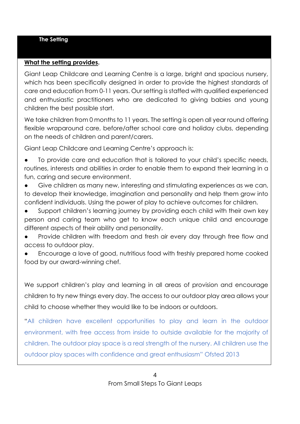#### **The Setting**

#### **What the setting provides.**

Giant Leap Childcare and Learning Centre is a large, bright and spacious nursery, which has been specifically designed in order to provide the highest standards of care and education from 0-11 years. Our setting is staffed with qualified experienced and enthusiastic practitioners who are dedicated to giving babies and young children the best possible start.

We take children from 0 months to 11 years. The setting is open all year round offering flexible wraparound care, before/after school care and holiday clubs, depending on the needs of children and parent/carers.

Giant Leap Childcare and Learning Centre's approach is:

To provide care and education that is tailored to your child's specific needs, routines, interests and abilities in order to enable them to expand their learning in a fun, caring and secure environment.

Give children as many new, interesting and stimulating experiences as we can, to develop their knowledge, imagination and personality and help them grow into confident individuals. Using the power of play to achieve outcomes for children.

Support children's learning journey by providing each child with their own key person and caring team who get to know each unique child and encourage different aspects of their ability and personality.

Provide children with freedom and fresh air every day through free flow and access to outdoor play.

Encourage a love of good, nutritious food with freshly prepared home cooked food by our award-winning chef.

We support children's play and learning in all areas of provision and encourage children to try new things every day. The access to our outdoor play area allows your child to choose whether they would like to be indoors or outdoors.

"All children have excellent opportunities to play and learn in the outdoor environment, with free access from inside to outside available for the majority of children. The outdoor play space is a real strength of the nursery. All children use the outdoor play spaces with confidence and great enthusiasm" Ofsted 2013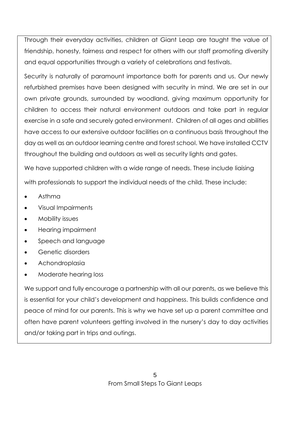Through their everyday activities, children at Giant Leap are taught the value of friendship, honesty, fairness and respect for others with our staff promoting diversity and equal opportunities through a variety of celebrations and festivals.

Security is naturally of paramount importance both for parents and us. Our newly refurbished premises have been designed with security in mind. We are set in our own private grounds, surrounded by woodland, giving maximum opportunity for children to access their natural environment outdoors and take part in regular exercise in a safe and securely gated environment. Children of all ages and abilities have access to our extensive outdoor facilities on a continuous basis throughout the day as well as an outdoor learning centre and forest school. We have installed CCTV throughout the building and outdoors as well as security lights and gates.

We have supported children with a wide range of needs. These include liaising with professionals to support the individual needs of the child. These include:

- Asthma
- Visual Impairments
- Mobility issues
- Hearing impairment
- Speech and language
- Genetic disorders
- Achondroplasia
- Moderate hearing loss

We support and fully encourage a partnership with all our parents, as we believe this is essential for your child's development and happiness. This builds confidence and peace of mind for our parents. This is why we have set up a parent committee and often have parent volunteers getting involved in the nursery's day to day activities and/or taking part in trips and outings.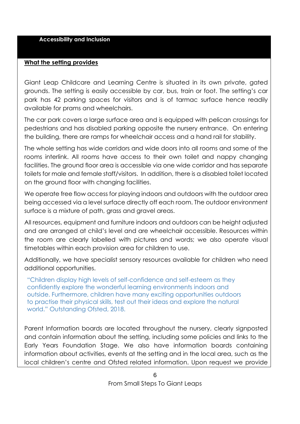#### **Accessibility and Inclusion**

#### **What the setting provides**

Giant Leap Childcare and Learning Centre is situated in its own private, gated grounds. The setting is easily accessible by car, bus, train or foot. The setting's car park has 42 parking spaces for visitors and is of tarmac surface hence readily available for prams and wheelchairs.

The car park covers a large surface area and is equipped with pelican crossings for pedestrians and has disabled parking opposite the nursery entrance. On entering the building, there are ramps for wheelchair access and a hand rail for stability.

The whole setting has wide corridors and wide doors into all rooms and some of the rooms interlink. All rooms have access to their own toilet and nappy changing facilities. The ground floor area is accessible via one wide corridor and has separate toilets for male and female staff/visitors. In addition, there is a disabled toilet located on the ground floor with changing facilities.

We operate free flow access for playing indoors and outdoors with the outdoor area being accessed via a level surface directly off each room. The outdoor environment surface is a mixture of path, grass and gravel areas.

All resources, equipment and furniture indoors and outdoors can be height adjusted and are arranged at child's level and are wheelchair accessible. Resources within the room are clearly labelled with pictures and words; we also operate visual timetables within each provision area for children to use.

Additionally, we have specialist sensory resources available for children who need additional opportunities.

"Children display high levels of self-confidence and self-esteem as they confidently explore the wonderful learning environments indoors and outside. Furthermore, children have many exciting opportunities outdoors to practise their physical skills, test out their ideas and explore the natural world." Outstanding Ofsted, 2018.

Parent Information boards are located throughout the nursery, clearly signposted and contain information about the setting, including some policies and links to the Early Years Foundation Stage. We also have information boards containing information about activities, events at the setting and in the local area, such as the local children's centre and Ofsted related information. Upon request we provide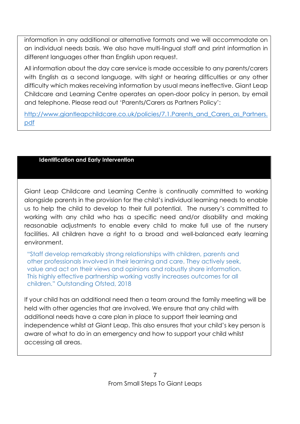information in any additional or alternative formats and we will accommodate on an individual needs basis. We also have multi-lingual staff and print information in different languages other than English upon request.

All information about the day care service is made accessible to any parents/carers with English as a second language, with sight or hearing difficulties or any other difficulty which makes receiving information by usual means ineffective. Giant Leap Childcare and Learning Centre operates an open-door policy in person, by email and telephone. Please read out 'Parents/Carers as Partners Policy':

[http://www.giantleapchildcare.co.uk/policies/7.1.Parents\\_and\\_Carers\\_as\\_Partners.](http://www.giantleapchildcare.co.uk/policies/7.1.Parents_and_Carers_as_Partners.pdf) [pdf](http://www.giantleapchildcare.co.uk/policies/7.1.Parents_and_Carers_as_Partners.pdf)

## **Identification and Early Intervention**

Giant Leap Childcare and Learning Centre is continually committed to working alongside parents in the provision for the child's individual learning needs to enable us to help the child to develop to their full potential. The nursery's committed to working with any child who has a specific need and/or disability and making reasonable adjustments to enable every child to make full use of the nursery facilities. All children have a right to a broad and well-balanced early learning environment.

"Staff develop remarkably strong relationships with children, parents and other professionals involved in their learning and care. They actively seek, value and act on their views and opinions and robustly share information. This highly effective partnership working vastly increases outcomes for all children." Outstanding Ofsted, 2018

If your child has an additional need then a team around the family meeting will be held with other agencies that are involved. We ensure that any child with additional needs have a care plan in place to support their learning and independence whilst at Giant Leap. This also ensures that your child's key person is aware of what to do in an emergency and how to support your child whilst accessing all areas.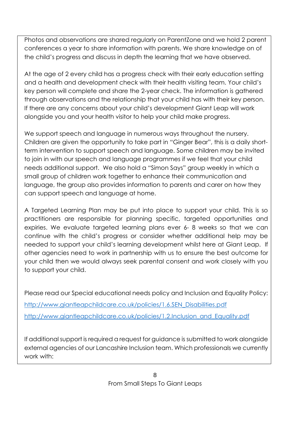Photos and observations are shared regularly on ParentZone and we hold 2 parent conferences a year to share information with parents. We share knowledge on of the child's progress and discuss in depth the learning that we have observed.

At the age of 2 every child has a progress check with their early education setting and a health and development check with their health visiting team. Your child's key person will complete and share the 2-year check. The information is gathered through observations and the relationship that your child has with their key person. If there are any concerns about your child's development Giant Leap will work alongside you and your health visitor to help your child make progress.

We support speech and language in numerous ways throughout the nursery. Children are given the opportunity to take part in "Ginger Bear", this is a daily shortterm intervention to support speech and language. Some children may be invited to join in with our speech and language programmes if we feel that your child needs additional support. We also hold a "Simon Says" group weekly in which a small group of children work together to enhance their communication and language, the group also provides information to parents and carer on how they can support speech and language at home.

A Targeted Learning Plan may be put into place to support your child. This is so practitioners are responsible for planning specific, targeted opportunities and expiries. We evaluate targeted learning plans ever 6- 8 weeks so that we can continue with the child's progress or consider whether additional help may be needed to support your child's learning development whilst here at Giant Leap. If other agencies need to work in partnership with us to ensure the best outcome for your child then we would always seek parental consent and work closely with you to support your child.

Please read our Special educational needs policy and Inclusion and Equality Policy: [http://www.giantleapchildcare.co.uk/policies/1.6.SEN\\_Disabilities.pdf](http://www.giantleapchildcare.co.uk/policies/1.6.SEN_Disabilities.pdf) [http://www.giantleapchildcare.co.uk/policies/1.2.Inclusion\\_and\\_Equality.pdf](http://www.giantleapchildcare.co.uk/policies/1.2.Inclusion_and_Equality.pdf)

If additional support is required a request for guidance is submitted to work alongside external agencies of our Lancashire Inclusion team. Which professionals we currently work with: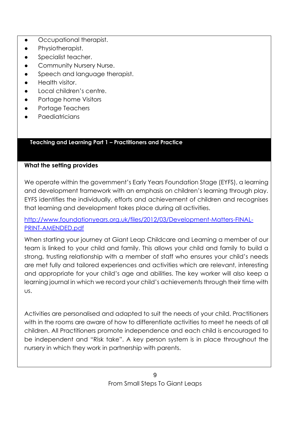- Occupational therapist.
- Physiotherapist.
- Specialist teacher.
- Community Nursery Nurse.
- Speech and language therapist.
- Health visitor.
- Local children's centre.
- Portage home Visitors
- Portage Teachers
- Paediatricians

## **Teaching and Learning Part 1 – Practitioners and Practice**

## **What the setting provides**

We operate within the government's Early Years Foundation Stage (EYFS), a learning and development framework with an emphasis on children's learning through play. EYFS identifies the individually, efforts and achievement of children and recognises that learning and development takes place during all activities.

[http://www.foundationyears.org.uk/files/2012/03/Development-Matters-FINAL-](http://www.foundationyears.org.uk/files/2012/03/Development-Matters-FINAL-PRINT-AMENDED.pdf)[PRINT-AMENDED.pdf](http://www.foundationyears.org.uk/files/2012/03/Development-Matters-FINAL-PRINT-AMENDED.pdf)

When starting your journey at Giant Leap Childcare and Learning a member of our team is linked to your child and family. This allows your child and family to build a strong, trusting relationship with a member of staff who ensures your child's needs are met fully and tailored experiences and activities which are relevant, interesting and appropriate for your child's age and abilities. The key worker will also keep a learning journal in which we record your child's achievements through their time with us.

Activities are personalised and adapted to suit the needs of your child. Practitioners with in the rooms are aware of how to differentiate activities to meet he needs of all children. All Practitioners promote independence and each child is encouraged to be independent and "Risk take". A key person system is in place throughout the nursery in which they work in partnership with parents.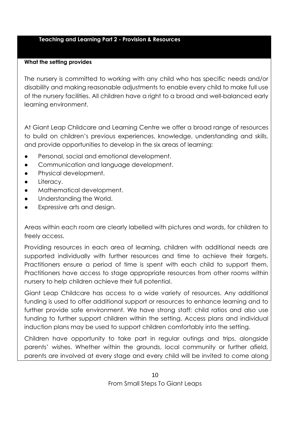#### **Teaching and Learning Part 2 - Provision & Resources**

#### **What the setting provides**

The nursery is committed to working with any child who has specific needs and/or disability and making reasonable adjustments to enable every child to make full use of the nursery facilities. All children have a right to a broad and well-balanced early learning environment.

At Giant Leap Childcare and Learning Centre we offer a broad range of resources to build on children's previous experiences, knowledge, understanding and skills, and provide opportunities to develop in the six areas of learning:

- Personal, social and emotional development.
- Communication and language development.
- Physical development.
- Literacy.
- Mathematical development.
- Understanding the World.
- Expressive arts and design.

Areas within each room are clearly labelled with pictures and words, for children to freely access.

Providing resources in each area of learning, children with additional needs are supported individually with further resources and time to achieve their targets. Practitioners ensure a period of time is spent with each child to support them. Practitioners have access to stage appropriate resources from other rooms within nursery to help children achieve their full potential.

Giant Leap Childcare has access to a wide variety of resources. Any additional funding is used to offer additional support or resources to enhance learning and to further provide safe environment. We have strong staff: child ratios and also use funding to further support children within the setting. Access plans and individual induction plans may be used to support children comfortably into the setting.

Children have opportunity to take part in regular outings and trips, alongside parents' wishes. Whether within the grounds, local community or further afield, parents are involved at every stage and every child will be invited to come along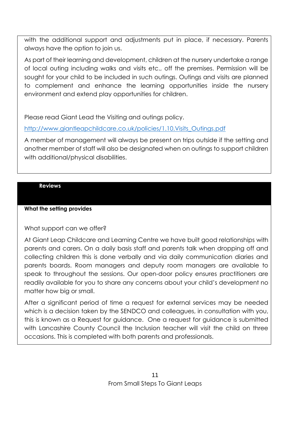with the additional support and adjustments put in place, if necessary. Parents always have the option to join us.

As part of their learning and development, children at the nursery undertake a range of local outing including walks and visits etc., off the premises. Permission will be sought for your child to be included in such outings. Outings and visits are planned to complement and enhance the learning opportunities inside the nursery environment and extend play opportunities for children.

Please read Giant Lead the Visiting and outings policy.

[http://www.giantleapchildcare.co.uk/policies/1.10.Visits\\_Outings.pdf](http://www.giantleapchildcare.co.uk/policies/1.10.Visits_Outings.pdf)

A member of management will always be present on trips outside if the setting and another member of staff will also be designated when on outings to support children with additional/physical disabilities.

## **Reviews**

## **What the setting provides**

## What support can we offer?

At Giant Leap Childcare and Learning Centre we have built good relationships with parents and carers. On a daily basis staff and parents talk when dropping off and collecting children this is done verbally and via daily communication diaries and parents boards. Room managers and deputy room managers are available to speak to throughout the sessions. Our open-door policy ensures practitioners are readily available for you to share any concerns about your child's development no matter how big or small.

After a significant period of time a request for external services may be needed which is a decision taken by the SENDCO and colleagues, in consultation with you, this is known as a Request for guidance. One a request for guidance is submitted with Lancashire County Council the Inclusion teacher will visit the child on three occasions. This is completed with both parents and professionals.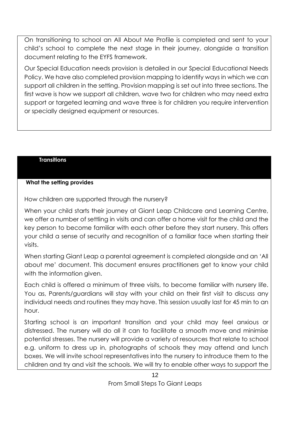On transitioning to school an All About Me Profile is completed and sent to your child's school to complete the next stage in their journey, alongside a transition document relating to the EYFS framework.

Our Special Education needs provision is detailed in our Special Educational Needs Policy. We have also completed provision mapping to identify ways in which we can support all children in the setting. Provision mapping is set out into three sections. The first wave is how we support all children, wave two for children who may need extra support or targeted learning and wave three is for children you require intervention or specially designed equipment or resources.

## **Transitions**

## **What the setting provides**

How children are supported through the nursery?

When your child starts their journey at Giant Leap Childcare and Learning Centre, we offer a number of settling in visits and can offer a home visit for the child and the key person to become familiar with each other before they start nursery. This offers your child a sense of security and recognition of a familiar face when starting their visits.

When starting Giant Leap a parental agreement is completed alongside and an 'All about me' document. This document ensures practitioners get to know your child with the information given.

Each child is offered a minimum of three visits, to become familiar with nursery life. You as, Parents/guardians will stay with your child on their first visit to discuss any individual needs and routines they may have. This session usually last for 45 min to an hour.

Starting school is an important transition and your child may feel anxious or distressed. The nursery will do all it can to facilitate a smooth move and minimise potential stresses. The nursery will provide a variety of resources that relate to school e.g. uniform to dress up in, photographs of schools they may attend and lunch boxes. We will invite school representatives into the nursery to introduce them to the children and try and visit the schools. We will try to enable other ways to support the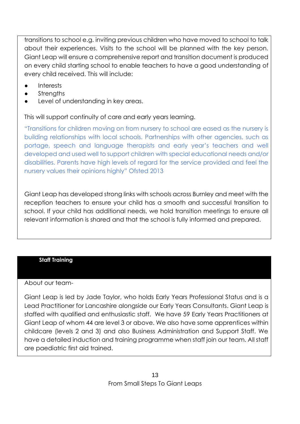transitions to school e.g. inviting previous children who have moved to school to talk about their experiences. Visits to the school will be planned with the key person. Giant Leap will ensure a comprehensive report and transition document is produced on every child starting school to enable teachers to have a good understanding of every child received. This will include:

- **Interests**
- **Strengths**
- Level of understanding in key areas.

This will support continuity of care and early years learning.

"Transitions for children moving on from nursery to school are eased as the nursery is building relationships with local schools. Partnerships with other agencies, such as portage, speech and language therapists and early year's teachers and well developed and used well to support children with special educational needs and/or disabilities. Parents have high levels of regard for the service provided and feel the nursery values their opinions highly" Ofsted 2013

Giant Leap has developed strong links with schools across Burnley and meet with the reception teachers to ensure your child has a smooth and successful transition to school. If your child has additional needs, we hold transition meetings to ensure all relevant information is shared and that the school is fully informed and prepared.

#### **Staff Training**

#### About our team-

Giant Leap is led by Jade Taylor, who holds Early Years Professional Status and is a Lead Practitioner for Lancashire alongside our Early Years Consultants. Giant Leap is staffed with qualified and enthusiastic staff. We have 59 Early Years Practitioners at Giant Leap of whom 44 are level 3 or above. We also have some apprentices within childcare (levels 2 and 3) and also Business Administration and Support Staff. We have a detailed induction and training programme when staff join our team. All staff are paediatric first aid trained.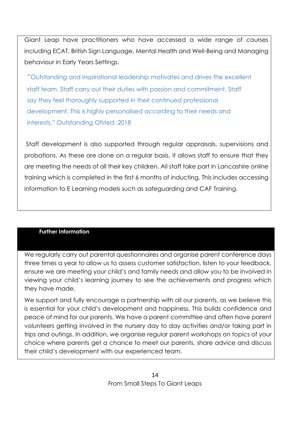Giant Leap have practitioners who have accessed a wide range of courses including ECAT, British Sign Language, Mental Health and Well-Being and Managing behaviour in Early Years Settings.

"Outstanding and inspirational leadership motivates and drives the excellent staff team. Staff carry out their duties with passion and commitment. Staff say they feel thoroughly supported in their continued professional development. This is highly personalised according to their needs and interests." Outstanding Ofsted, 2018

Staff development is also supported through regular appraisals, supervisions and probations. As these are done on a regular basis, it allows staff to ensure that they are meeting the needs of all their key children. All staff take part in Lancashire online training which is completed in the first 6 months of inducting. This includes accessing information to E Learning models such as safeguarding and CAF Training.

#### **Further Information**

We regularly carry out parental questionnaires and organise parent conference days three times a year to allow us to assess customer satisfaction, listen to your feedback, ensure we are meeting your child's and family needs and allow you to be involved in viewing your child's learning journey to see the achievements and progress which they have made.

We support and fully encourage a partnership with all our parents, as we believe this is essential for your child's development and happiness. This builds confidence and peace of mind for our parents. We have a parent committee and often have parent volunteers getting involved in the nursery day to day activities and/or taking part in trips and outings. In addition, we organise regular parent workshops on topics of your choice where parents get a chance to meet our parents, share advice and discuss their child's development with our experienced team.